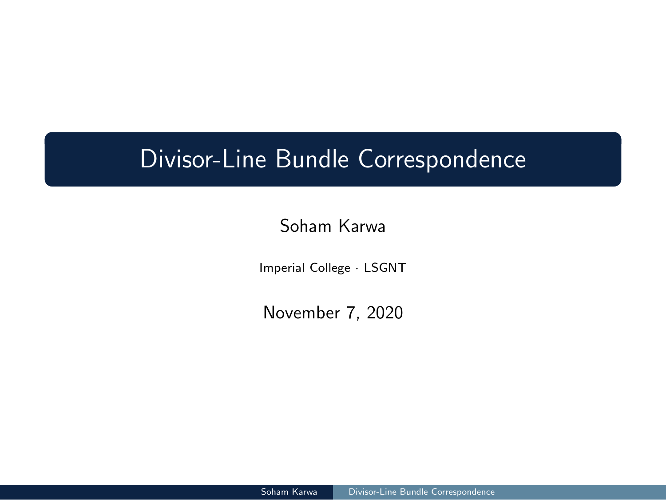# Divisor-Line Bundle Correspondence

Soham Karwa

Imperial College *·* LSGNT

November 7, 2020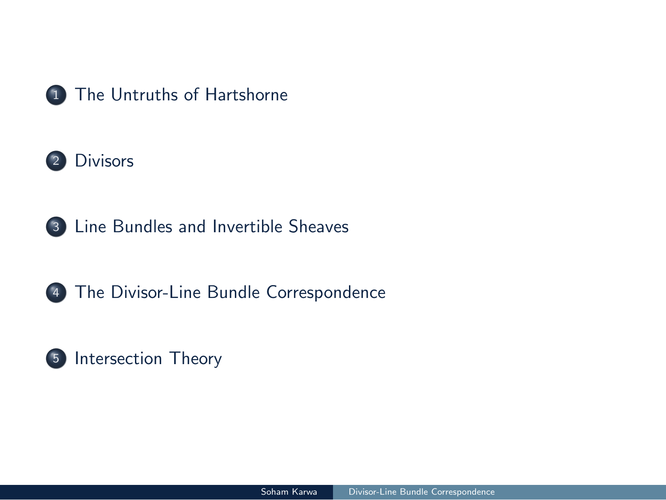



Line Bundles and Invertible Sheaves

The Divisor-Line Bundle Correspondence

Divisor-Line Bundle Corresponder

Intersection Theory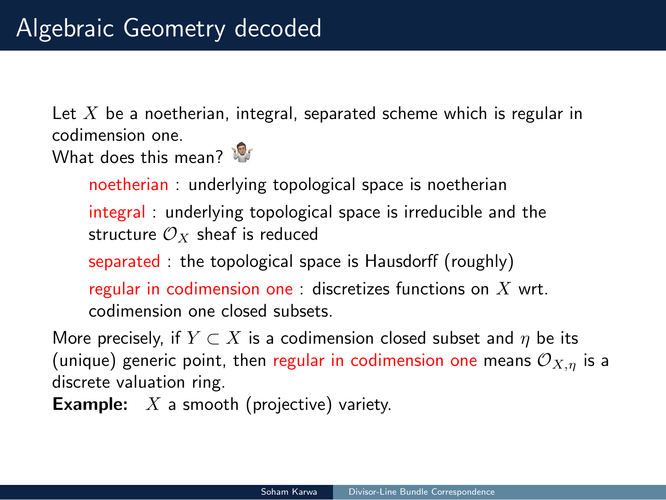# Algebraic Geometry decoded

Let *X* be a noetherian, integral, separated scheme which is regular in codimension one.

What does this mean?

noetherian : underlying topological space is noetherian integral : underlying topological space is irreducible and the structure  $\mathcal{O}_X$  sheaf is reduced

separated : the topological space is Hausdorff (roughly)

regular in codimension one : discretizes functions on *X* wrt. codimension one closed subsets.

More precisely, if  $Y \subset X$  is a codimension closed subset and  $\eta$  be its (unique) generic point, then regular in codimension one means *OX,η* is a discrete valuation ring.

Soham Karwa | Divisor-Line Bundle Correspondence

**Example:** *X* a smooth (projective) variety.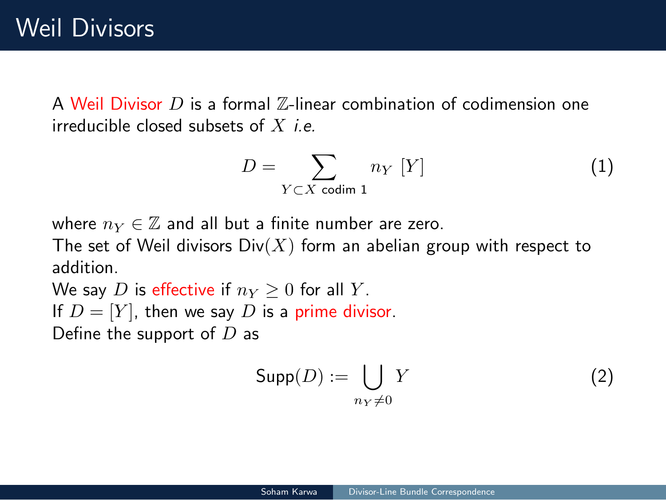A Weil Divisor *D* is a formal Z-linear combination of codimension one irreducible closed subsets of *X i.e.*

$$
D = \sum_{Y \subset X \text{ codim } 1} n_Y [Y] \tag{1}
$$

where  $n_Y \in \mathbb{Z}$  and all but a finite number are zero.

The set of Weil divisors  $\text{Div}(X)$  form an abelian group with respect to addition.

We say *D* is effective if  $n_Y \geq 0$  for all *Y*. If  $D = [Y]$ , then we say  $D$  is a prime divisor.

Define the support of *D* as

$$
\mathsf{Supp}(D) := \bigcup_{n_Y \neq 0} Y \tag{2}
$$

Divisor-Line Bundle Co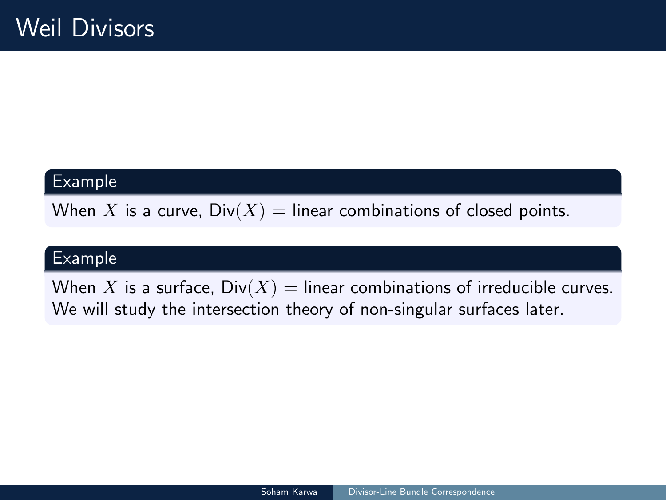### Example

When *X* is a curve,  $Div(X) =$  linear combinations of closed points.

### Example

When *X* is a surface,  $Div(X) =$  linear combinations of irreducible curves. We will study the intersection theory of non-singular surfaces later.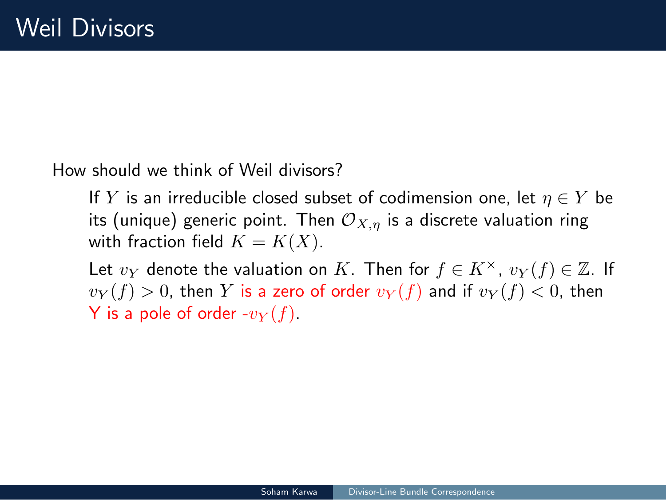How should we think of Weil divisors?

If  $Y$  is an irreducible closed subset of codimension one, let  $\eta \in Y$  be its (unique) generic point. Then  $\mathcal{O}_{X,\eta}$  is a discrete valuation ring with fraction field  $K = K(X)$ .

Let  $v_Y$  denote the valuation on *K*. Then for  $f \in K^\times$ ,  $v_Y(f) \in \mathbb{Z}$ . If  $v_Y(f) > 0$ , then *Y* is a zero of order  $v_Y(f)$  and if  $v_Y(f) < 0$ , then **Y** is a pole of order  $-v_Y(f)$ .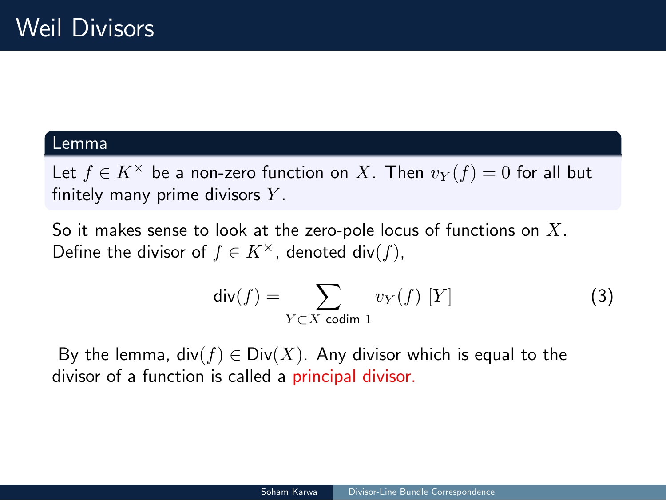#### Lemma

Let  $f \in K^\times$  be a non-zero function on *X*. Then  $v_Y(f) = 0$  for all but finitely many prime divisors *Y* .

So it makes sense to look at the zero-pole locus of functions on *X*. Define the divisor of  $f \in K^\times$ , denoted div( $f$ ),

$$
\operatorname{div}(f) = \sum_{Y \subset X \text{ codim } 1} v_Y(f) [Y]
$$
 (3)

Soham Karwa | Divisor-Line Bundle Correspondence

By the lemma,  $div(f) \in Div(X)$ . Any divisor which is equal to the divisor of a function is called a principal divisor.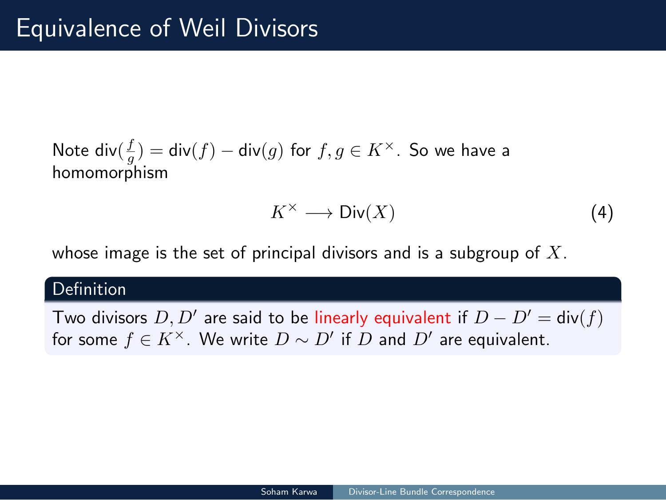# Equivalence of Weil Divisors

Note  $\mathsf{div}(\frac{f}{g}) = \mathsf{div}(f) - \mathsf{div}(g)$  for  $f,g \in K^\times$ . So we have a homomorphism

$$
K^{\times} \longrightarrow \text{Div}(X) \tag{4}
$$

whose image is the set of principal divisors and is a subgroup of *X*.

#### **Definition**

Two divisors *D, D′* are said to be linearly equivalent if *D − D′* = div(*f*) for some  $f \in K^\times$ . We write  $D \sim D'$  if  $D$  and  $D'$  are equivalent.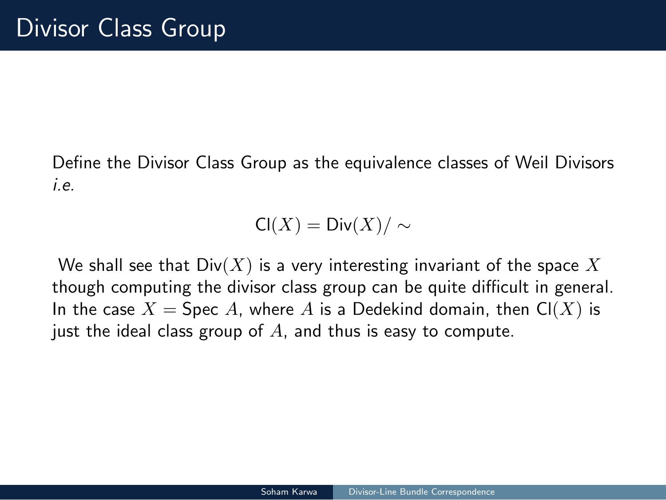# Divisor Class Group

Define the Divisor Class Group as the equivalence classes of Weil Divisors *i.e.*

$$
\mathsf{Cl}(X) = \mathsf{Div}(X) / \sim
$$

We shall see that Div(*X*) is a very interesting invariant of the space *X* though computing the divisor class group can be quite difficult in general. In the case  $X =$  Spec *A*, where *A* is a Dedekind domain, then  $Cl(X)$  is just the ideal class group of *A*, and thus is easy to compute.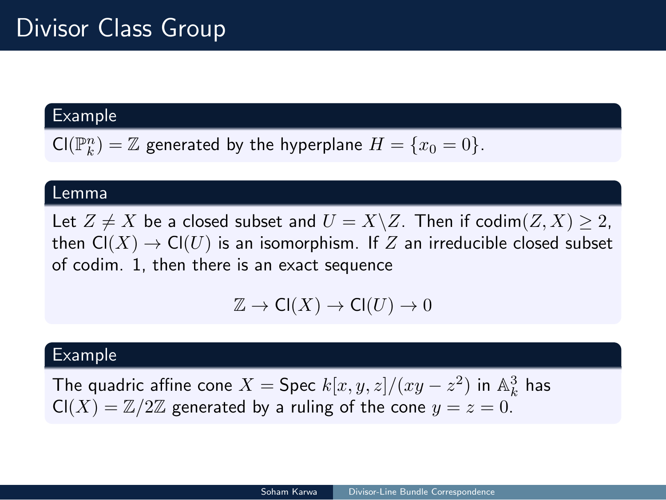# Divisor Class Group

### Example

 $\mathsf{Cl}(\mathbb{P}^n_k) = \mathbb{Z}$  generated by the hyperplane  $H = \{x_0 = 0\}.$ 

#### Lemma

Let  $Z \neq X$  be a closed subset and  $U = X \setminus Z$ . Then if  $\text{codim}(Z, X) \geq 2$ , then  $\mathsf{Cl}(X) \to \mathsf{Cl}(U)$  is an isomorphism. If  $Z$  an irreducible closed subset of codim. 1, then there is an exact sequence

$$
\mathbb{Z} \to \mathsf{Cl}(X) \to \mathsf{Cl}(U) \to 0
$$

Soham Karwa | Divisor-Line Bundle Correspondence

### Example

The quadric affine cone  $X = \mathsf{Spec}\ k[x,y,z]/(xy-z^2)$  in  $\mathbb{A}_k^3$  has  $\mathsf{Cl}(X) = \mathbb{Z}/2\mathbb{Z}$  generated by a ruling of the cone  $y = z = 0$ .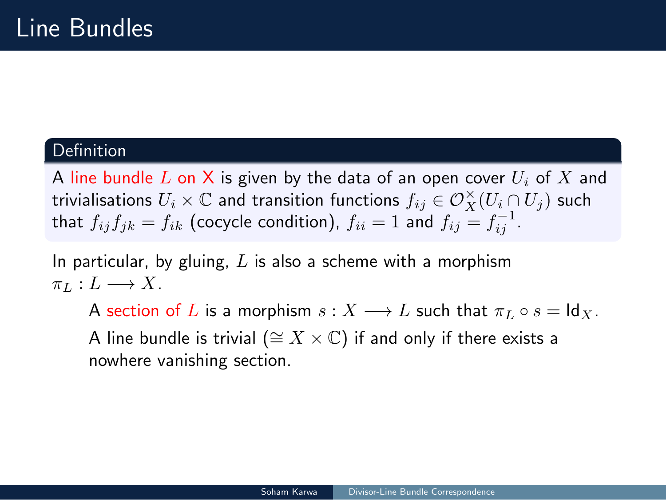# Line Bundles

#### Definition

A line bundle *L* on X is given by the data of an open cover *U<sup>i</sup>* of *X* and  $t$ rivialisations  $U_i \times \mathbb{C}$  and transition functions  $f_{ij} \in \mathcal{O}_X^\times(U_i \cap U_j)$  such that  $f_{ij}f_{jk} = f_{ik}$  (cocycle condition),  $f_{ii} = 1$  and  $f_{ij} = f_{ij}^{-1}$ .

In particular, by gluing, *L* is also a scheme with a morphism  $\pi_L: L \longrightarrow X$ .

A section of *L* is a morphism  $s: X \longrightarrow L$  such that  $\pi_L \circ s = \text{Id}_X$ .

Soham Karwa | Divisor-Line Bundle Correspondence

A line bundle is trivial (*∼*= *X ×* C) if and only if there exists a nowhere vanishing section.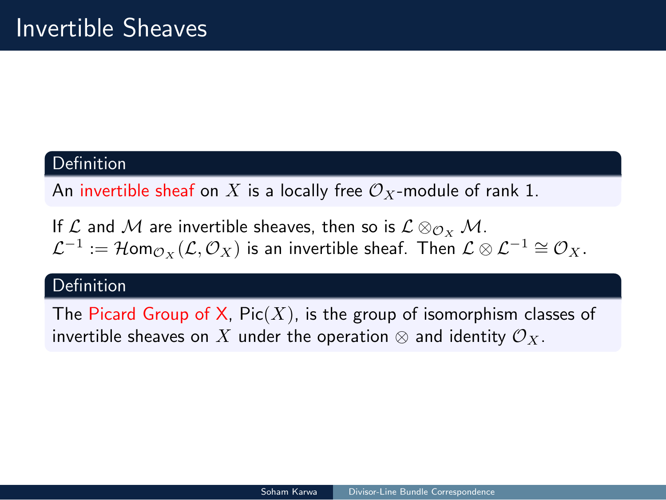# Invertible Sheaves

#### Definition

An invertible sheaf on  $X$  is a locally free  $\mathcal{O}_X$ -module of rank 1.

If  $\mathcal{L}$  and  $\mathcal{M}$  are invertible sheaves, then so is  $\mathcal{L} \otimes_{\mathcal{O}_X} \mathcal{M}$ .  $\mathcal{L}^{-1}$  :=  $\mathcal{H}$ om $_{\mathcal{O}_X}(\mathcal{L}, \mathcal{O}_X)$  is an invertible sheaf. Then  $\mathcal{L} \otimes \mathcal{L}^{-1} \cong \mathcal{O}_X$ .

### **Definition**

The Picard Group of X, Pic(*X*), is the group of isomorphism classes of invertible sheaves on  $X$  under the operation  $\otimes$  and identity  $\mathcal{O}_X$ .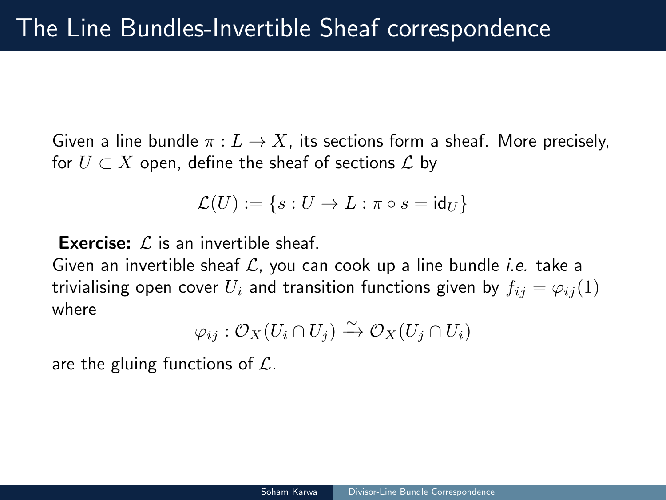# The Line Bundles-Invertible Sheaf correspondence

Given a line bundle *π* : *L → X*, its sections form a sheaf. More precisely, for *U ⊂ X* open, define the sheaf of sections *L* by

$$
\mathcal{L}(U) := \{ s : U \to L : \pi \circ s = \mathrm{id}_U \}
$$

**Exercise:** *L* is an invertible sheaf.

Given an invertible sheaf *L*, you can cook up a line bundle *i.e.* take a trivialising open cover  $U_i$  and transition functions given by  $f_{ij} = \varphi_{ij}(1)$ where

$$
\varphi_{ij} : \mathcal{O}_X(U_i \cap U_j) \xrightarrow{\sim} \mathcal{O}_X(U_j \cap U_i)
$$

Soham Karwa | Divisor-Line Bundle Correspondence

are the gluing functions of *L*.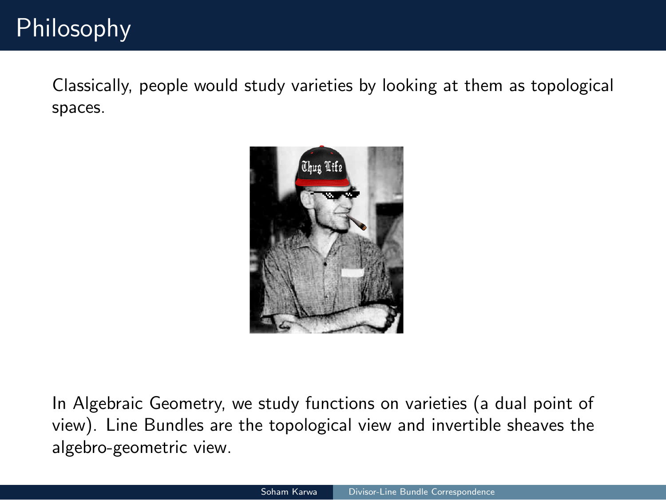# Philosophy

Classically, people would study varieties by looking at them as topological spaces.



In Algebraic Geometry, we study functions on varieties (a dual point of view). Line Bundles are the topological view and invertible sheaves the algebro-geometric view.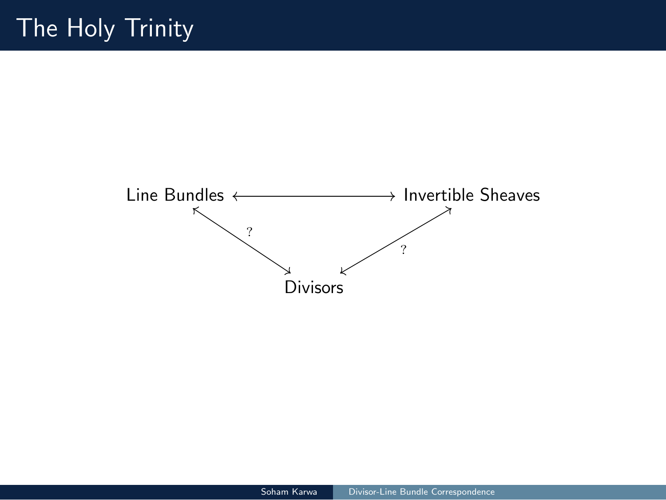# The Holy Trinity

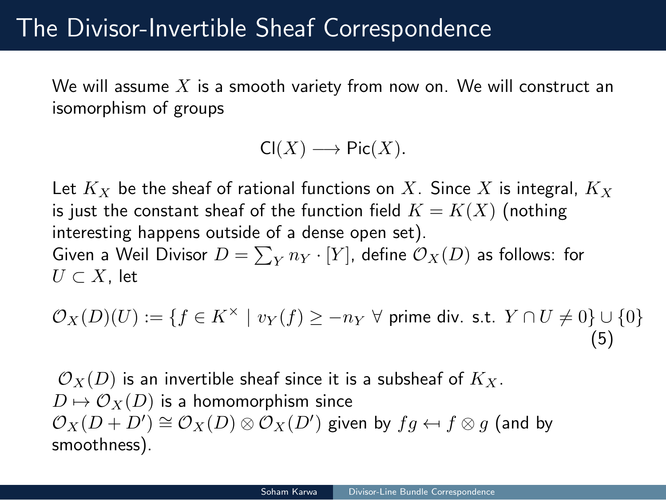### The Divisor-Invertible Sheaf Correspondence

We will assume *X* is a smooth variety from now on. We will construct an isomorphism of groups

$$
\mathsf{Cl}(X) \longrightarrow \mathsf{Pic}(X).
$$

Let *K<sup>X</sup>* be the sheaf of rational functions on *X*. Since *X* is integral, *K<sup>X</sup>* is just the constant sheaf of the function field  $K = K(X)$  (nothing interesting happens outside of a dense open set). Given a Weil Divisor  $D=\sum_Y n_Y\cdot [Y]$ , define  $\mathcal{O}_X(D)$  as follows: for *U ⊂ X*, let

$$
\mathcal{O}_X(D)(U) := \{ f \in K^\times \mid v_Y(f) \ge -n_Y \,\,\forall \text{ prime div. s.t. } Y \cap U \neq 0 \} \cup \{ 0 \}
$$
\n
$$
\tag{5}
$$

Soham Karwa | Divisor-Line Bundle Correspondence

 $\mathcal{O}_X(D)$  is an invertible sheaf since it is a subsheaf of  $K_X$ .  $D \mapsto \mathcal{O}_X(D)$  is a homomorphism since  $\mathcal{O}_X(D + D') \cong \mathcal{O}_X(D) \otimes \mathcal{O}_X(D')$  given by  $fg \leftarrow f \otimes g$  (and by smoothness).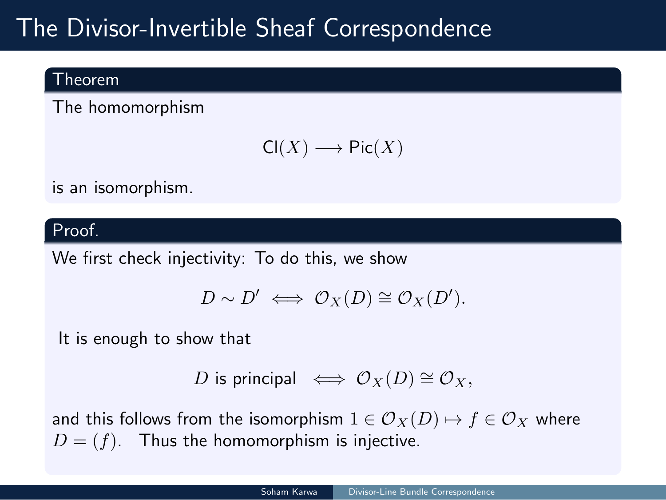# The Divisor-Invertible Sheaf Correspondence

#### Theorem

The homomorphism

$$
\mathsf{Cl}(X) \longrightarrow \mathsf{Pic}(X)
$$

is an isomorphism.

#### Proof.

We first check injectivity: To do this, we show

$$
D \sim D' \iff \mathcal{O}_X(D) \cong \mathcal{O}_X(D').
$$

It is enough to show that

*D* is principal  $\iff \mathcal{O}_X(D) \cong \mathcal{O}_X$ ,

and this follows from the isomorphism  $1 \in \mathcal{O}_X(D) \mapsto f \in \mathcal{O}_X$  where  $D = (f)$ . Thus the homomorphism is injective.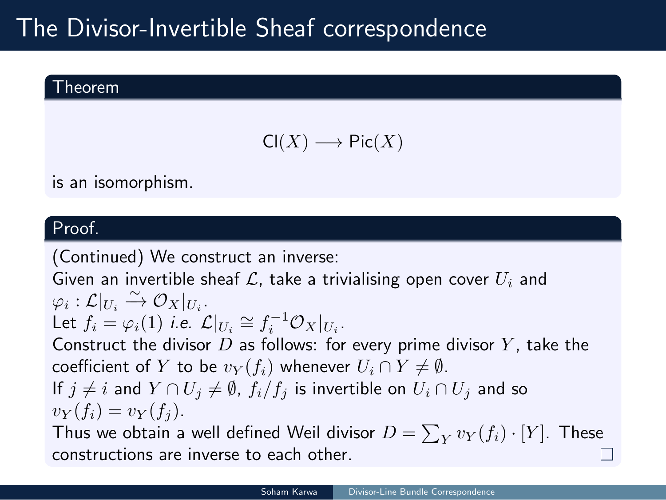# The Divisor-Invertible Sheaf correspondence

Theorem

$$
\mathsf{Cl}(X)\longrightarrow \mathsf{Pic}(X)
$$

is an isomorphism.

#### Proof.

(Continued) We construct an inverse: Given an invertible sheaf  $\mathcal L$ , take a trivialising open cover  $U_i$  and  $\varphi_i: \mathcal{L}|_{U_i} \overset{\sim}{\to} \mathcal{O}_X|_{U_i}.$ Let  $f_i = \varphi_i(1)$  *i.e.*  $\mathcal{L}|_{U_i} \cong f_i^{-1}\mathcal{O}_X|_{U_i}$ . Construct the divisor *D* as follows: for every prime divisor *Y* , take the coefficient of *Y* to be  $v_Y(f_i)$  whenever  $U_i \cap Y \neq \emptyset$ . If  $j \neq i$  and  $Y \cap U_j \neq \emptyset$ ,  $f_i/f_j$  is invertible on  $U_i \cap U_j$  and so  $v_Y(f_i) = v_Y(f_j).$ Thus we obtain a well defined Weil divisor  $D = \sum_Y v_Y(f_i) \cdot [Y]$ . These constructions are inverse to each other.  $\Box$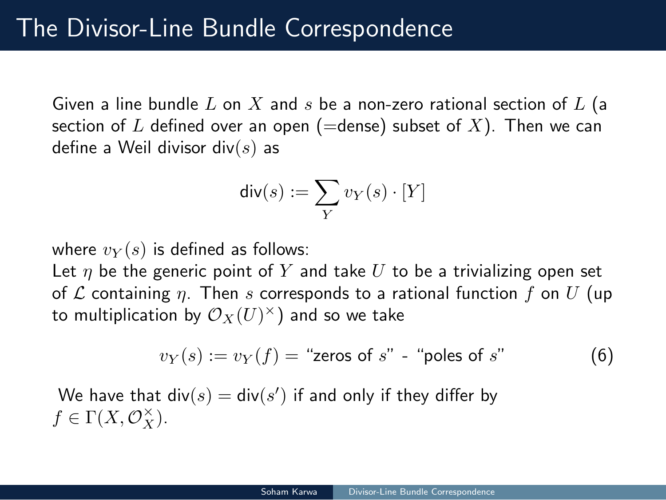# The Divisor-Line Bundle Correspondence

Given a line bundle *L* on *X* and *s* be a non-zero rational section of *L* (a section of  $L$  defined over an open (=dense) subset of  $X$ ). Then we can define a Weil divisor div(*s*) as

$$
\mathsf{div}(s) := \sum_{Y} v_Y(s) \cdot [Y]
$$

where  $v_Y(s)$  is defined as follows:

Let  $\eta$  be the generic point of  $Y$  and take  $U$  to be a trivializing open set of *L* containing *η*. Then *s* corresponds to a rational function *f* on *U* (up to multiplication by  $\mathcal{O}_X(U)^\times)$  and so we take

$$
v_Y(s) := v_Y(f) = "zeros of s" - "poles of s" \tag{6}
$$

Soham Karwa | Divisor-Line Bundle Correspondence

We have that  $\mathsf{div}(s) = \mathsf{div}(s')$  if and only if they differ by  $f \in \Gamma(X, \mathcal{O}_X^{\times}).$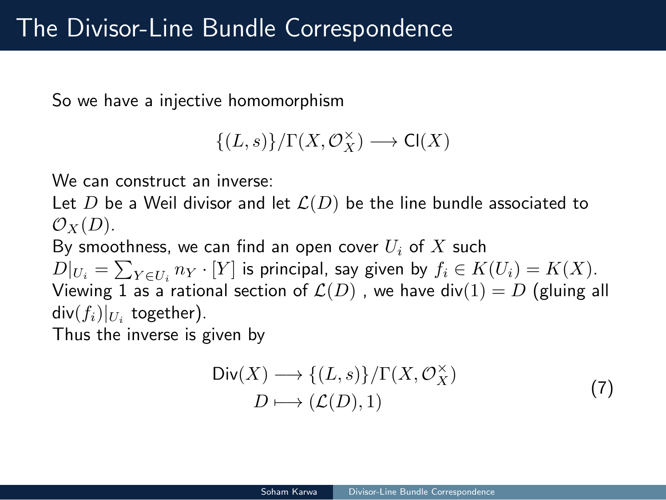# The Divisor-Line Bundle Correspondence

So we have a injective homomorphism

$$
\{(L, s)\}/\Gamma(X, \mathcal{O}_X^{\times}) \longrightarrow \mathsf{Cl}(X)
$$

We can construct an inverse:

Let  $D$  be a Weil divisor and let  $\mathcal{L}(D)$  be the line bundle associated to  $\mathcal{O}_X(D)$ .

By smoothness, we can find an open cover *U<sup>i</sup>* of *X* such  $D|_{U_i} = \sum_{Y \in U_i} n_Y \cdot [Y]$  is principal, say given by  $f_i \in K(U_i) = K(X)$ . Viewing 1 as a rational section of  ${\mathcal L}(D)$  , we have  $\mathsf{div}(1) = D$  (gluing all  $\mathsf{div}(f_i)|_{U_i}$  together). Thus the inverse is given by

$$
\text{Div}(X) \longrightarrow \{(L, s)\} / \Gamma(X, \mathcal{O}_X^{\times})
$$
  

$$
D \longmapsto (\mathcal{L}(D), 1)
$$
 (7)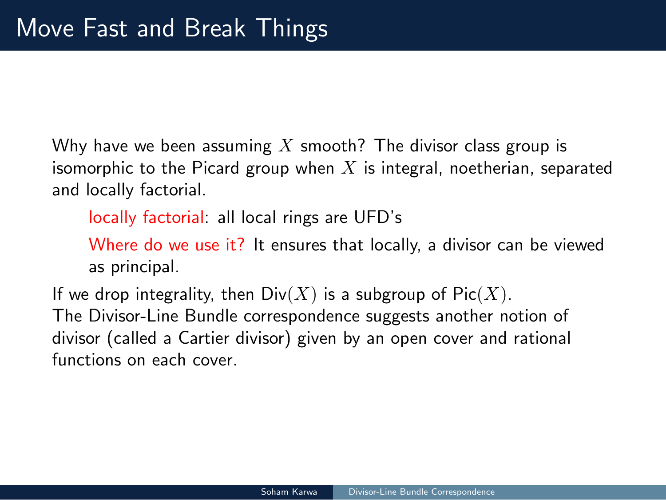# Move Fast and Break Things

Why have we been assuming *X* smooth? The divisor class group is isomorphic to the Picard group when *X* is integral, noetherian, separated and locally factorial.

locally factorial: all local rings are UFD's

Where do we use it? It ensures that locally, a divisor can be viewed as principal.

Soham Karwa | Divisor-Line Bundle Correspondence

If we drop integrality, then  $Div(X)$  is a subgroup of  $Pic(X)$ . The Divisor-Line Bundle correspondence suggests another notion of divisor (called a Cartier divisor) given by an open cover and rational functions on each cover.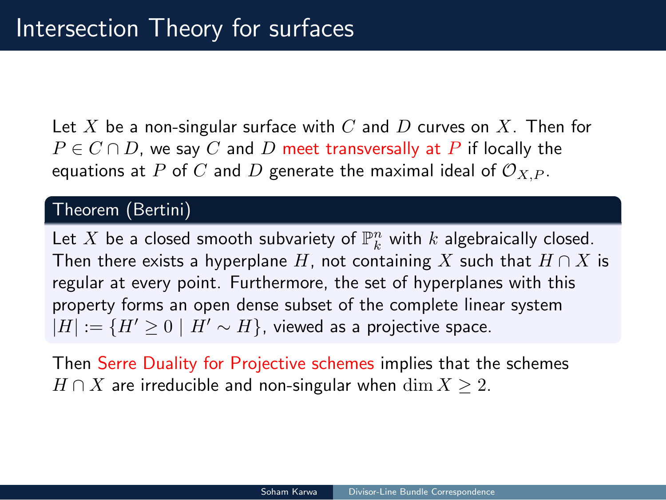### Intersection Theory for surfaces

Let *X* be a non-singular surface with *C* and *D* curves on *X*. Then for  $P \in C \cap D$ , we say *C* and *D* meet transversally at *P* if locally the equations at  $P$  of  $C$  and  $D$  generate the maximal ideal of  $\mathcal{O}_{X,P}$ .

#### Theorem (Bertini)

Let  $X$  be a closed smooth subvariety of  $\mathbb{P}^n_k$  with  $k$  algebraically closed. Then there exists a hyperplane *H*, not containing *X* such that *H ∩ X* is regular at every point. Furthermore, the set of hyperplanes with this property forms an open dense subset of the complete linear system  $|H| := {H' ≥ 0 | H' ∼ H}$ , viewed as a projective space.

Soham Karwa | Divisor-Line Bundle Correspondence

Then Serre Duality for Projective schemes implies that the schemes *H*  $\cap$  *X* are irreducible and non-singular when  $\dim X$  ≥ 2.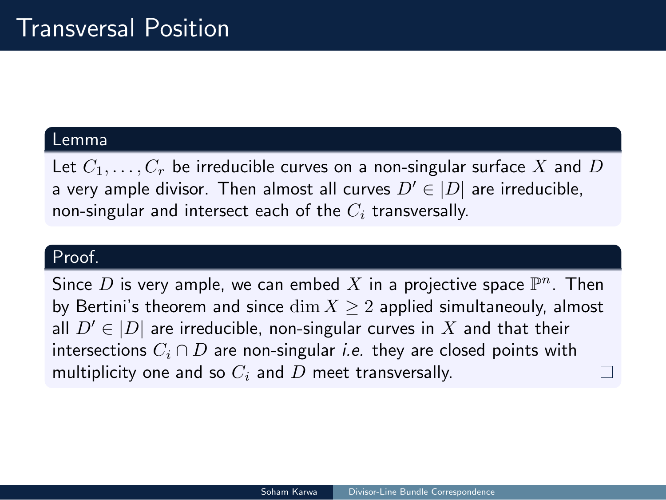### Transversal Position

#### Lemma

Let *C*1*, . . . , C<sup>r</sup>* be irreducible curves on a non-singular surface *X* and *D* a very ample divisor. Then almost all curves  $D' \in |D|$  are irreducible, non-singular and intersect each of the *C<sup>i</sup>* transversally.

#### Proof.

Since  $D$  is very ample, we can embed  $X$  in a projective space  $\mathbb{P}^n.$  Then by Bertini's theorem and since dim *X ≥* 2 applied simultaneouly, almost all  $D' \in |D|$  are irreducible, non-singular curves in  $X$  and that their intersections *C<sup>i</sup> ∩ D* are non-singular *i.e.* they are closed points with multiplicity one and so *C<sup>i</sup>* and *D* meet transversally.  $\Box$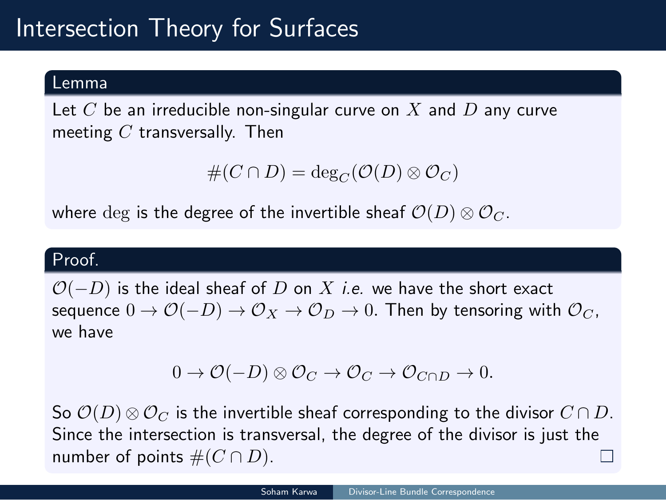# Intersection Theory for Surfaces

#### Lemma

Let *C* be an irreducible non-singular curve on *X* and *D* any curve meeting *C* transversally. Then

$$
\#(C \cap D) = \deg_C(\mathcal{O}(D) \otimes \mathcal{O}_C)
$$

where  $\deg$  is the degree of the invertible sheaf  $\mathcal{O}(D) \otimes \mathcal{O}_C$ .

#### Proof.

*O*(*−D*) is the ideal sheaf of *D* on *X i.e.* we have the short exact sequence  $0 \to \mathcal{O}(-D) \to \mathcal{O}_X \to \mathcal{O}_D \to 0$ . Then by tensoring with  $\mathcal{O}_C$ , we have

 $0 \to \mathcal{O}(-D) \otimes \mathcal{O}_C \to \mathcal{O}_C \to \mathcal{O}_{C \cap D} \to 0.$ 

So  $\mathcal{O}(D) \otimes \mathcal{O}_C$  is the invertible sheaf corresponding to the divisor  $C \cap D$ . Since the intersection is transversal, the degree of the divisor is just the number of points  $#(C \cap D)$ .  $\Box$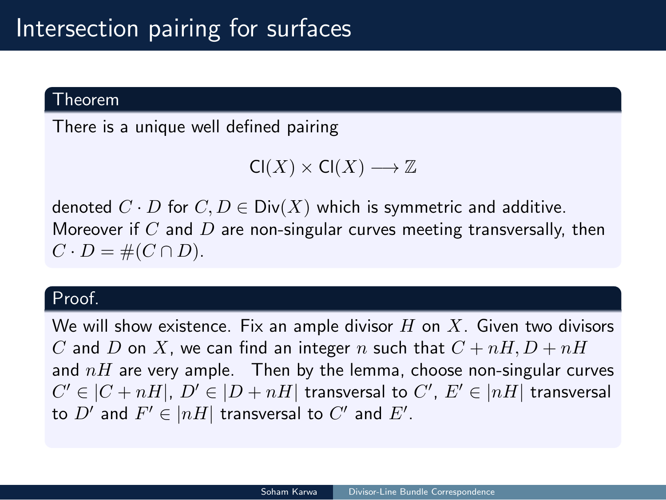# Intersection pairing for surfaces

#### Theorem

There is a unique well defined pairing

 $Cl(X) \times Cl(X) \longrightarrow \mathbb{Z}$ 

denoted  $C \cdot D$  for  $C, D \in Div(X)$  which is symmetric and additive. Moreover if *C* and *D* are non-singular curves meeting transversally, then  $C \cdot D = \#(C \cap D).$ 

#### Proof.

We will show existence. Fix an ample divisor *H* on *X*. Given two divisors *C* and *D* on *X*, we can find an integer *n* such that  $C + nH$ ,  $D + nH$ and *nH* are very ample. Then by the lemma, choose non-singular curves  $C' \in |C + nH|, \ D' \in |D + nH|$  transversal to  $C', \ E' \in |nH|$  transversal to  $D'$  and  $F' \in |nH|$  transversal to  $C'$  and  $E'.$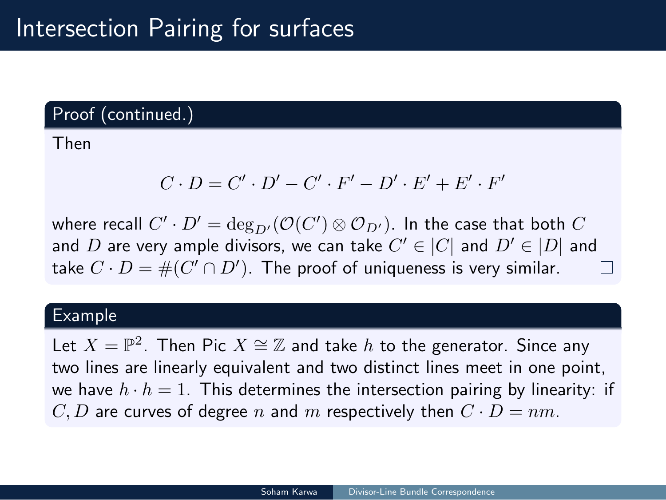# Intersection Pairing for surfaces

#### Proof (continued.)

Then

$$
C \cdot D = C' \cdot D' - C' \cdot F' - D' \cdot E' + E' \cdot F'
$$

where recall  $C' \cdot D' = \deg_{D'}(\mathcal{O}(C') \otimes \mathcal{O}_{D'})$ . In the case that both  $C$ and  $D$  are very ample divisors, we can take  $C' \in |C|$  and  $D' \in |D|$  and  $\Box$ take  $C\cdot D=\#(C'\cap D')$ . The proof of uniqueness is very similar.

#### Example

Let  $X = \mathbb{P}^2$ . Then Pic  $X \cong \mathbb{Z}$  and take  $h$  to the generator. Since any two lines are linearly equivalent and two distinct lines meet in one point, we have  $h \cdot h = 1$ . This determines the intersection pairing by linearity: if  $C, D$  are curves of degree *n* and *m* respectively then  $C \cdot D = nm$ .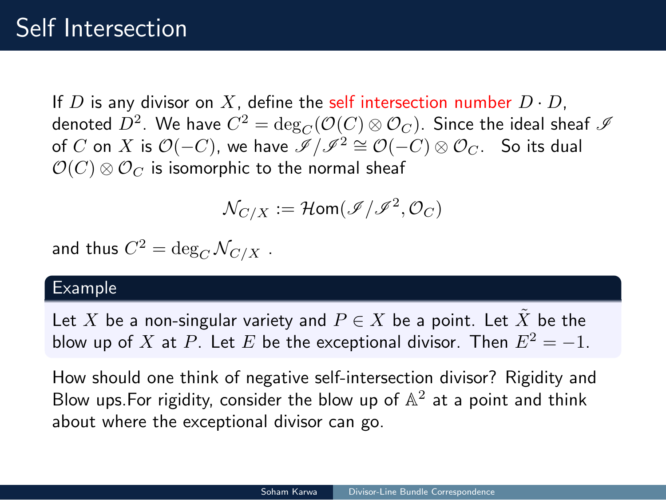### Self Intersection

If  $D$  is any divisor on  $X$ , define the self intersection number  $D \cdot D$ , denoted  $D^2.$  We have  $C^2 = \deg_C(\mathcal O(C) \otimes \mathcal O_C).$  Since the ideal sheaf  $\mathscr I$  $\circ$  of  $C$  on  $X$  is  $\mathcal{O}(-C)$ , we have  $\overline{\mathscr{I}}/\mathscr{I}^2 \cong \mathcal{O}(-C) \otimes \mathcal{O}_C$ . So its dual  $\mathcal{O}(C) \otimes \mathcal{O}_C$  is isomorphic to the normal sheaf

$$
\mathcal{N}_{C/X} := \mathcal{H}\text{om}(\mathscr{I}/\mathscr{I}^2, \mathcal{O}_C)
$$

and thus  $C^2 = \deg_C \mathcal{N}_{C/X}$  .

#### Example

Let  $X$  be a non-singular variety and  $P \in X$  be a point. Let  $\tilde{X}$  be the blow up of *X* at *P*. Let *E* be the exceptional divisor. Then  $E^2 = -1$ .

How should one think of negative self-intersection divisor? Rigidity and Blow ups. For rigidity, consider the blow up of  $\mathbb{A}^2$  at a point and think about where the exceptional divisor can go.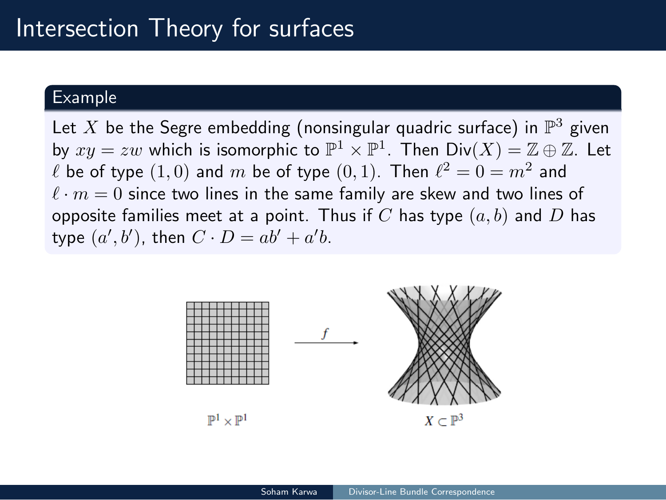# Intersection Theory for surfaces

#### Example

Let  $X$  be the Segre embedding (nonsingular quadric surface) in  $\mathbb{P}^3$  given by  $xy = zw$  which is isomorphic to  $\mathbb{P}^1 \times \mathbb{P}^1$ . Then  $\mathsf{Div}(X) = \mathbb{Z} \oplus \mathbb{Z}$ . Let  $\ell$  be of type  $(1,0)$  and  $m$  be of type  $(0,1)$ . Then  $\ell^2=0=m^2$  and  $l \cdot m = 0$  since two lines in the same family are skew and two lines of opposite families meet at a point. Thus if *C* has type (*a, b*) and *D* has type  $(a', b')$ , then  $C \cdot D = ab' + a'b$ .



Soham Karwa | Divisor-Line Bundle Correspondence

 $\mathbb{P}^1\times\mathbb{P}^1$